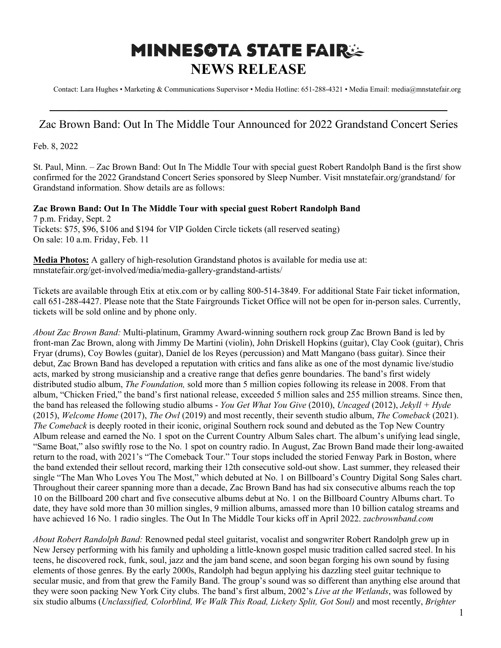## **MINNESOTA STATE FAIRSE NEWS RELEASE**

Contact: Lara Hughes • Marketing & Communications Supervisor • Media Hotline: 651-288-4321 • Media Email: media@mnstatefair.org

## **———————————————————————————** Zac Brown Band: Out In The Middle Tour Announced for 2022 Grandstand Concert Series

Feb. 8, 2022

St. Paul, Minn. – Zac Brown Band: Out In The Middle Tour with special guest Robert Randolph Band is the first show confirmed for the 2022 Grandstand Concert Series sponsored by Sleep Number. Visit mnstatefair.org/grandstand/ for Grandstand information. Show details are as follows:

**Zac Brown Band: Out In The Middle Tour with special guest Robert Randolph Band** 7 p.m. Friday, Sept. 2 Tickets: \$75, \$96, \$106 and \$194 for VIP Golden Circle tickets (all reserved seating) On sale: 10 a.m. Friday, Feb. 11

**Media Photos:** A gallery of high-resolution Grandstand photos is available for media use at: mnstatefair.org/get-involved/media/media-gallery-grandstand-artists/

Tickets are available through Etix at etix.com or by calling 800-514-3849. For additional State Fair ticket information, call 651-288-4427. Please note that the State Fairgrounds Ticket Office will not be open for in-person sales. Currently, tickets will be sold online and by phone only.

*About Zac Brown Band:* Multi-platinum, Grammy Award-winning southern rock group Zac Brown Band is led by front-man Zac Brown, along with Jimmy De Martini (violin), John Driskell Hopkins (guitar), Clay Cook (guitar), Chris Fryar (drums), Coy Bowles (guitar), Daniel de los Reyes (percussion) and Matt Mangano (bass guitar). Since their debut, Zac Brown Band has developed a reputation with critics and fans alike as one of the most dynamic live/studio acts, marked by strong musicianship and a creative range that defies genre boundaries. The band's first widely distributed studio album, *The Foundation,* sold more than 5 million copies following its release in 2008. From that album, "Chicken Fried," the band's first national release, exceeded 5 million sales and 255 million streams. Since then, the band has released the following studio albums - *You Get What You Give* (2010), *Uncaged* (2012), *Jekyll + Hyde* (2015), *Welcome Home* (2017), *The Owl* (2019) and most recently, their seventh studio album, *The Comeback* (2021). *The Comeback* is deeply rooted in their iconic, original Southern rock sound and debuted as the Top New Country Album release and earned the No. 1 spot on the Current Country Album Sales chart. The album's unifying lead single, "Same Boat," also swiftly rose to the No. 1 spot on country radio. In August, Zac Brown Band made their long-awaited return to the road, with 2021's "The Comeback Tour." Tour stops included the storied Fenway Park in Boston, where the band extended their sellout record, marking their 12th consecutive sold-out show. Last summer, they released their single "The Man Who Loves You The Most," which debuted at No. 1 on Billboard's Country Digital Song Sales chart. Throughout their career spanning more than a decade, Zac Brown Band has had six consecutive albums reach the top 10 on the Billboard 200 chart and five consecutive albums debut at No. 1 on the Billboard Country Albums chart. To date, they have sold more than 30 million singles, 9 million albums, amassed more than 10 billion catalog streams and have achieved 16 No. 1 radio singles. The Out In The Middle Tour kicks off in April 2022. *zacbrownband.com*

*About Robert Randolph Band:* Renowned pedal steel guitarist, vocalist and songwriter Robert Randolph grew up in New Jersey performing with his family and upholding a little-known gospel music tradition called sacred steel. In his teens, he discovered rock, funk, soul, jazz and the jam band scene, and soon began forging his own sound by fusing elements of those genres. By the early 2000s, Randolph had begun applying his dazzling steel guitar technique to secular music, and from that grew the Family Band. The group's sound was so different than anything else around that they were soon packing New York City clubs. The band's first album, 2002's *Live at the Wetlands*, was followed by six studio albums (*Unclassified, Colorblind, We Walk This Road, Lickety Split, Got Soul)* and most recently, *Brighter*